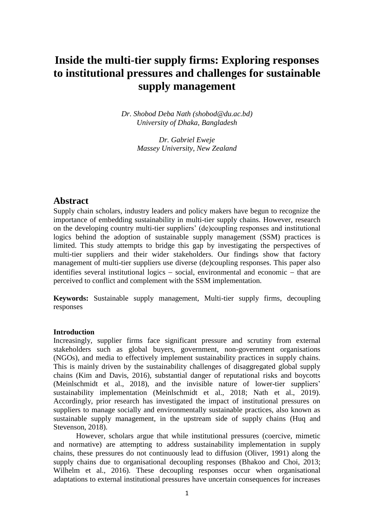# **Inside the multi-tier supply firms: Exploring responses to institutional pressures and challenges for sustainable supply management**

*Dr. Shobod Deba Nath [\(shobod@du.ac.bd\)](mailto:shobod@du.ac.bd) University of Dhaka, Bangladesh*

> *Dr. Gabriel Eweje Massey University, New Zealand*

## **Abstract**

Supply chain scholars, industry leaders and policy makers have begun to recognize the importance of embedding sustainability in multi-tier supply chains. However, research on the developing country multi-tier suppliers' (de)coupling responses and institutional logics behind the adoption of sustainable supply management (SSM) practices is limited. This study attempts to bridge this gap by investigating the perspectives of multi-tier suppliers and their wider stakeholders. Our findings show that factory management of multi-tier suppliers use diverse (de)coupling responses. This paper also identifies several institutional logics  $-$  social, environmental and economic  $-$  that are perceived to conflict and complement with the SSM implementation.

**Keywords:** Sustainable supply management, Multi-tier supply firms, decoupling responses

### **Introduction**

Increasingly, supplier firms face significant pressure and scrutiny from external stakeholders such as global buyers, government, non-government organisations (NGOs), and media to effectively implement sustainability practices in supply chains. This is mainly driven by the sustainability challenges of disaggregated global supply chains (Kim and Davis, 2016), substantial danger of reputational risks and boycotts (Meinlschmidt et al., 2018), and the invisible nature of lower-tier suppliers' sustainability implementation (Meinlschmidt et al., 2018; Nath et al., 2019). Accordingly, prior research has investigated the impact of institutional pressures on suppliers to manage socially and environmentally sustainable practices, also known as sustainable supply management, in the upstream side of supply chains (Huq and Stevenson, 2018).

However, scholars argue that while institutional pressures (coercive, mimetic and normative) are attempting to address sustainability implementation in supply chains, these pressures do not continuously lead to diffusion (Oliver, 1991) along the supply chains due to organisational decoupling responses (Bhakoo and Choi, 2013; Wilhelm et al., 2016). These decoupling responses occur when organisational adaptations to external institutional pressures have uncertain consequences for increases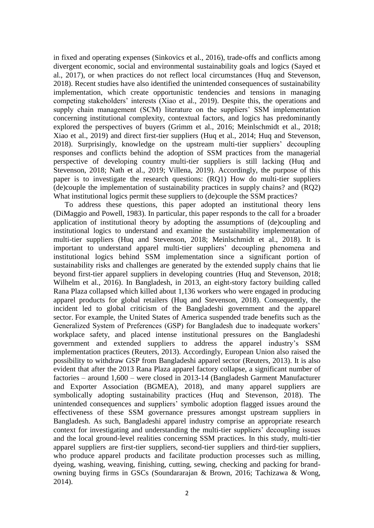in fixed and operating expenses (Sinkovics et al., 2016), trade-offs and conflicts among divergent economic, social and environmental sustainability goals and logics (Sayed et al., 2017), or when practices do not reflect local circumstances (Huq and Stevenson, 2018). Recent studies have also identified the unintended consequences of sustainability implementation, which create opportunistic tendencies and tensions in managing competing stakeholders' interests (Xiao et al., 2019). Despite this, the operations and supply chain management (SCM) literature on the suppliers' SSM implementation concerning institutional complexity, contextual factors, and logics has predominantly explored the perspectives of buyers (Grimm et al., 2016; Meinlschmidt et al., 2018; Xiao et al., 2019) and direct first-tier suppliers (Huq et al., 2014; Huq and Stevenson, 2018). Surprisingly, knowledge on the upstream multi-tier suppliers' decoupling responses and conflicts behind the adoption of SSM practices from the managerial perspective of developing country multi-tier suppliers is still lacking (Huq and Stevenson, 2018; Nath et al., 2019; Villena, 2019). Accordingly, the purpose of this paper is to investigate the research questions: (RQ1) How do multi-tier suppliers (de)couple the implementation of sustainability practices in supply chains? and (RQ2) What institutional logics permit these suppliers to (de)couple the SSM practices?

To address these questions, this paper adopted an institutional theory lens (DiMaggio and Powell, 1983). In particular, this paper responds to the call for a broader application of institutional theory by adopting the assumptions of (de)coupling and institutional logics to understand and examine the sustainability implementation of multi-tier suppliers (Huq and Stevenson, 2018; Meinlschmidt et al., 2018). It is important to understand apparel multi-tier suppliers' decoupling phenomena and institutional logics behind SSM implementation since a significant portion of sustainability risks and challenges are generated by the extended supply chains that lie beyond first-tier apparel suppliers in developing countries (Huq and Stevenson, 2018; Wilhelm et al., 2016). In Bangladesh, in 2013, an eight-story factory building called Rana Plaza collapsed which killed about 1,136 workers who were engaged in producing apparel products for global retailers (Huq and Stevenson, 2018). Consequently, the incident led to global criticism of the Bangladeshi government and the apparel sector. For example, the United States of America suspended trade benefits such as the Generalized System of Preferences (GSP) for Bangladesh due to inadequate workers' workplace safety, and placed intense institutional pressures on the Bangladeshi government and extended suppliers to address the apparel industry's SSM implementation practices (Reuters, 2013). Accordingly, European Union also raised the possibility to withdraw GSP from Bangladeshi apparel sector (Reuters, 2013). It is also evident that after the 2013 Rana Plaza apparel factory collapse, a significant number of factories – around 1,600 – were closed in 2013-14 (Bangladesh Garment Manufacturer and Exporter Association (BGMEA), 2018), and many apparel suppliers are symbolically adopting sustainability practices (Huq and Stevenson, 2018). The unintended consequences and suppliers' symbolic adoption flagged issues around the effectiveness of these SSM governance pressures amongst upstream suppliers in Bangladesh. As such, Bangladeshi apparel industry comprise an appropriate research context for investigating and understanding the multi-tier suppliers' decoupling issues and the local ground-level realities concerning SSM practices. In this study, multi-tier apparel suppliers are first-tier suppliers, second-tier suppliers and third-tier suppliers, who produce apparel products and facilitate production processes such as milling, dyeing, washing, weaving, finishing, cutting, sewing, checking and packing for brandowning buying firms in GSCs (Soundararajan & Brown, 2016; Tachizawa & Wong, 2014).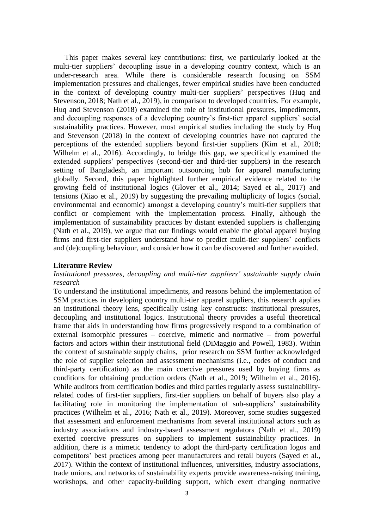This paper makes several key contributions: first, we particularly looked at the multi-tier suppliers' decoupling issue in a developing country context, which is an under-research area. While there is considerable research focusing on SSM implementation pressures and challenges, fewer empirical studies have been conducted in the context of developing country multi-tier suppliers' perspectives (Huq and Stevenson, 2018; Nath et al., 2019), in comparison to developed countries. For example, Huq and Stevenson (2018) examined the role of institutional pressures, impediments, and decoupling responses of a developing country's first-tier apparel suppliers' social sustainability practices. However, most empirical studies including the study by Huq and Stevenson (2018) in the context of developing countries have not captured the perceptions of the extended suppliers beyond first-tier suppliers (Kim et al., 2018; Wilhelm et al., 2016). Accordingly, to bridge this gap, we specifically examined the extended suppliers' perspectives (second-tier and third-tier suppliers) in the research setting of Bangladesh, an important outsourcing hub for apparel manufacturing globally. Second, this paper highlighted further empirical evidence related to the growing field of institutional logics (Glover et al., 2014; Sayed et al., 2017) and tensions (Xiao et al., 2019) by suggesting the prevailing multiplicity of logics (social, environmental and economic) amongst a developing country's multi-tier suppliers that conflict or complement with the implementation process. Finally, although the implementation of sustainability practices by distant extended suppliers is challenging (Nath et al., 2019), we argue that our findings would enable the global apparel buying firms and first-tier suppliers understand how to predict multi-tier suppliers' conflicts and (de)coupling behaviour, and consider how it can be discovered and further avoided.

#### **Literature Review**

#### *Institutional pressures, decoupling and multi-tier suppliers' sustainable supply chain research*

To understand the institutional impediments, and reasons behind the implementation of SSM practices in developing country multi-tier apparel suppliers, this research applies an institutional theory lens, specifically using key constructs: institutional pressures, decoupling and institutional logics. Institutional theory provides a useful theoretical frame that aids in understanding how firms progressively respond to a combination of external isomorphic pressures – coercive, mimetic and normative – from powerful factors and actors within their institutional field (DiMaggio and Powell, 1983). Within the context of sustainable supply chains, prior research on SSM further acknowledged the role of supplier selection and assessment mechanisms (i.e., codes of conduct and third-party certification) as the main coercive pressures used by buying firms as conditions for obtaining production orders (Nath et al., 2019; Wilhelm et al., 2016). While auditors from certification bodies and third parties regularly assess sustainabilityrelated codes of first-tier suppliers, first-tier suppliers on behalf of buyers also play a facilitating role in monitoring the implementation of sub-suppliers' sustainability practices (Wilhelm et al., 2016; Nath et al., 2019). Moreover, some studies suggested that assessment and enforcement mechanisms from several institutional actors such as industry associations and industry-based assessment regulators (Nath et al., 2019) exerted coercive pressures on suppliers to implement sustainability practices. In addition, there is a mimetic tendency to adopt the third-party certification logos and competitors' best practices among peer manufacturers and retail buyers (Sayed et al., 2017). Within the context of institutional influences, universities, industry associations, trade unions, and networks of sustainability experts provide awareness-raising training, workshops, and other capacity-building support, which exert changing normative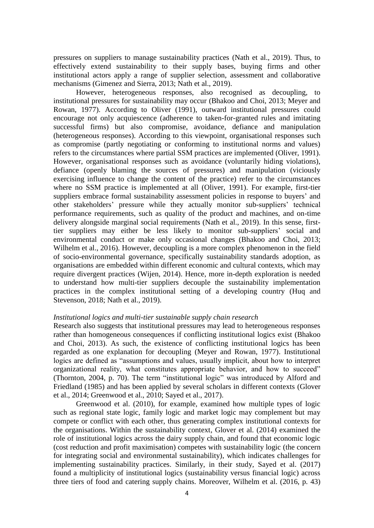pressures on suppliers to manage sustainability practices (Nath et al., 2019). Thus, to effectively extend sustainability to their supply bases, buying firms and other institutional actors apply a range of supplier selection, assessment and collaborative mechanisms (Gimenez and Sierra, 2013; Nath et al., 2019).

However, heterogeneous responses, also recognised as decoupling, to institutional pressures for sustainability may occur (Bhakoo and Choi, 2013; Meyer and Rowan, 1977). According to Oliver (1991), outward institutional pressures could encourage not only acquiescence (adherence to taken-for-granted rules and imitating successful firms) but also compromise, avoidance, defiance and manipulation (heterogeneous responses). According to this viewpoint, organisational responses such as compromise (partly negotiating or conforming to institutional norms and values) refers to the circumstances where partial SSM practices are implemented (Oliver, 1991). However, organisational responses such as avoidance (voluntarily hiding violations), defiance (openly blaming the sources of pressures) and manipulation (viciously exercising influence to change the content of the practice) refer to the circumstances where no SSM practice is implemented at all (Oliver, 1991). For example, first-tier suppliers embrace formal sustainability assessment policies in response to buyers' and other stakeholders' pressure while they actually monitor sub-suppliers' technical performance requirements, such as quality of the product and machines, and on-time delivery alongside marginal social requirements (Nath et al., 2019). In this sense, firsttier suppliers may either be less likely to monitor sub-suppliers' social and environmental conduct or make only occasional changes (Bhakoo and Choi, 2013; Wilhelm et al., 2016). However, decoupling is a more complex phenomenon in the field of socio-environmental governance, specifically sustainability standards adoption, as organisations are embedded within different economic and cultural contexts, which may require divergent practices (Wijen, 2014). Hence, more in-depth exploration is needed to understand how multi-tier suppliers decouple the sustainability implementation practices in the complex institutional setting of a developing country (Huq and Stevenson, 2018; Nath et al., 2019).

#### *Institutional logics and multi-tier sustainable supply chain research*

Research also suggests that institutional pressures may lead to heterogeneous responses rather than homogeneous consequences if conflicting institutional logics exist (Bhakoo and Choi, 2013). As such, the existence of conflicting institutional logics has been regarded as one explanation for decoupling (Meyer and Rowan, 1977). Institutional logics are defined as "assumptions and values, usually implicit, about how to interpret organizational reality, what constitutes appropriate behavior, and how to succeed" (Thornton, 2004, p. 70). The term "institutional logic" was introduced by Alford and Friedland (1985) and has been applied by several scholars in different contexts (Glover et al., 2014; Greenwood et al., 2010; Sayed et al., 2017).

Greenwood et al. (2010), for example, examined how multiple types of logic such as regional state logic, family logic and market logic may complement but may compete or conflict with each other, thus generating complex institutional contexts for the organisations. Within the sustainability context, Glover et al. (2014) examined the role of institutional logics across the dairy supply chain, and found that economic logic (cost reduction and profit maximisation) competes with sustainability logic (the concern for integrating social and environmental sustainability), which indicates challenges for implementing sustainability practices. Similarly, in their study, Sayed et al. (2017) found a multiplicity of institutional logics (sustainability versus financial logic) across three tiers of food and catering supply chains. Moreover, Wilhelm et al. (2016, p. 43)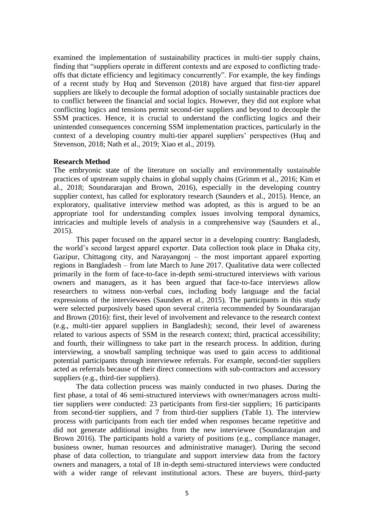examined the implementation of sustainability practices in multi-tier supply chains, finding that "suppliers operate in different contexts and are exposed to conflicting tradeoffs that dictate efficiency and legitimacy concurrently". For example, the key findings of a recent study by Huq and Stevenson (2018) have argued that first-tier apparel suppliers are likely to decouple the formal adoption of socially sustainable practices due to conflict between the financial and social logics. However, they did not explore what conflicting logics and tensions permit second-tier suppliers and beyond to decouple the SSM practices. Hence, it is crucial to understand the conflicting logics and their unintended consequences concerning SSM implementation practices, particularly in the context of a developing country multi-tier apparel suppliers' perspectives (Huq and Stevenson, 2018; Nath et al., 2019; Xiao et al., 2019).

#### **Research Method**

The embryonic state of the literature on socially and environmentally sustainable practices of upstream supply chains in global supply chains (Grimm et al., 2016; Kim et al., 2018; Soundararajan and Brown, 2016), especially in the developing country supplier context, has called for exploratory research (Saunders et al., 2015). Hence, an exploratory, qualitative interview method was adopted, as this is argued to be an appropriate tool for understanding complex issues involving temporal dynamics, intricacies and multiple levels of analysis in a comprehensive way (Saunders et al., 2015).

This paper focused on the apparel sector in a developing country: Bangladesh, the world's second largest apparel exporter. Data collection took place in Dhaka city, Gazipur, Chittagong city, and Narayangonj – the most important apparel exporting regions in Bangladesh – from late March to June 2017. Qualitative data were collected primarily in the form of face-to-face in-depth semi-structured interviews with various owners and managers, as it has been argued that face-to-face interviews allow researchers to witness non-verbal cues, including body language and the facial expressions of the interviewees (Saunders et al., 2015). The participants in this study were selected purposively based upon several criteria recommended by Soundararajan and Brown (2016): first, their level of involvement and relevance to the research context (e.g., multi-tier apparel suppliers in Bangladesh); second, their level of awareness related to various aspects of SSM in the research context; third, practical accessibility; and fourth, their willingness to take part in the research process. In addition, during interviewing, a snowball sampling technique was used to gain access to additional potential participants through interviewee referrals. For example, second-tier suppliers acted as referrals because of their direct connections with sub-contractors and accessory suppliers (e.g., third-tier suppliers).

The data collection process was mainly conducted in two phases. During the first phase, a total of 46 semi-structured interviews with owner/managers across multitier suppliers were conducted: 23 participants from first-tier suppliers; 16 participants from second-tier suppliers, and 7 from third-tier suppliers (Table 1). The interview process with participants from each tier ended when responses became repetitive and did not generate additional insights from the new interviewee (Soundararajan and Brown 2016). The participants hold a variety of positions (e.g., compliance manager, business owner, human resources and administrative manager). During the second phase of data collection, to triangulate and support interview data from the factory owners and managers, a total of 18 in-depth semi-structured interviews were conducted with a wider range of relevant institutional actors. These are buyers, third-party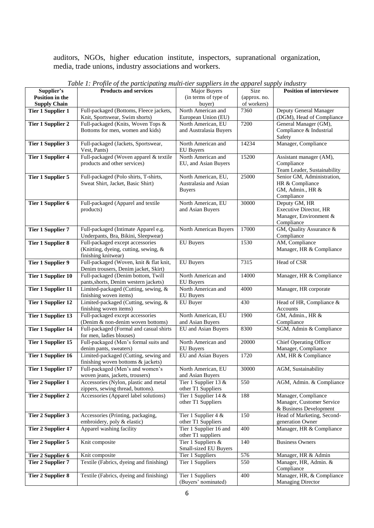auditors, NGOs, higher education institute, inspectors, supranational organization, media, trade unions, industry associations and workers.

|                           | Twee 1.1 rojne of the parnetpaints mant her suppliers in the apparet supply that str |                        |              |                                |
|---------------------------|--------------------------------------------------------------------------------------|------------------------|--------------|--------------------------------|
| Supplier's                | <b>Products and services</b>                                                         | <b>Major Buyers</b>    | Size         | Position of interviewee        |
| <b>Position in the</b>    |                                                                                      | (in terms of type of   | (approx. no. |                                |
| <b>Supply Chain</b>       |                                                                                      | buyer)                 | of workers)  |                                |
| <b>Tier 1 Supplier 1</b>  | Full-packaged (Bottoms, Fleece jackets,                                              | North American and     | 7360         | Deputy General Manager         |
|                           | Knit, Sportswear, Swim shorts)                                                       | European Union (EU)    |              | (DGM), Head of Compliance      |
| <b>Tier 1 Supplier 2</b>  | Full-packaged (Knits, Woven Tops &                                                   | North American, EU     | 7200         | General Manager (GM),          |
|                           | Bottoms for men, women and kids)                                                     | and Australasia Buyers |              | Compliance & Industrial        |
|                           |                                                                                      |                        |              | Safety                         |
| <b>Tier 1 Supplier 3</b>  | Full-packaged (Jackets, Sportswear,                                                  | North American and     | 14234        | Manager, Compliance            |
|                           |                                                                                      |                        |              |                                |
|                           | Vest, Pants)                                                                         | <b>EU</b> Buyers       |              |                                |
| <b>Tier 1 Supplier 4</b>  | Full-packaged (Woven apparel & textile                                               | North American and     | 15200        | Assistant manager (AM),        |
|                           | products and other services)                                                         | EU, and Asian Buyers   |              | Compliance                     |
|                           |                                                                                      |                        |              | Team Leader, Sustainability    |
| <b>Tier 1 Supplier 5</b>  | Full-packaged (Polo shirts, T-shirts,                                                | North American, EU,    | 25000        | Senior GM, Administration,     |
|                           | Sweat Shirt, Jacket, Basic Shirt)                                                    | Australasia and Asian  |              | HR & Compliance                |
|                           |                                                                                      | <b>Buyers</b>          |              | GM, Admin., HR &               |
|                           |                                                                                      |                        |              | Compliance                     |
| <b>Tier 1 Supplier 6</b>  | Full-packaged (Apparel and textile                                                   | North American, EU     | 30000        | Deputy GM, HR                  |
|                           | products)                                                                            | and Asian Buyers       |              | <b>Executive Director, HR</b>  |
|                           |                                                                                      |                        |              | Manager, Environment &         |
|                           |                                                                                      |                        |              | Compliance                     |
| <b>Tier 1 Supplier 7</b>  | Full-packaged (Intimate Apparel e.g.                                                 |                        | 17000        | GM, Quality Assurance &        |
|                           |                                                                                      | North American Buyers  |              |                                |
|                           | Underpants, Bra, Bikini, Sleepwear)                                                  |                        |              | Compliance                     |
| <b>Tier 1 Supplier 8</b>  | Full-packaged except accessories                                                     | <b>EU</b> Buyers       | 1530         | AM, Compliance                 |
|                           | (Knitting, dyeing, cutting, sewing, &                                                |                        |              | Manager, HR & Compliance       |
|                           | finishing knitwear)                                                                  |                        |              |                                |
| <b>Tier 1 Supplier 9</b>  | Full-packaged (Woven, knit & flat knit,                                              | <b>EU</b> Buyers       | 7315         | Head of CSR                    |
|                           | Denim trousers, Denim jacket, Skirt)                                                 |                        |              |                                |
| <b>Tier 1 Supplier 10</b> | Full-packaged (Denim bottom, Twill                                                   | North American and     | 14000        | Manager, HR & Compliance       |
|                           | pants, shorts, Denim western jackets)                                                | <b>EU</b> Buyers       |              |                                |
| <b>Tier 1 Supplier 11</b> | Limited-packaged (Cutting, sewing, &                                                 | North American and     | 4000         | Manager, HR corporate          |
|                           | finishing woven items)                                                               | <b>EU</b> Buyers       |              |                                |
| <b>Tier 1 Supplier 12</b> | Limited-packaged (Cutting, sewing, &                                                 | EU Buyer               | 430          | Head of HR, Compliance &       |
|                           | finishing woven items)                                                               |                        |              | Accounts                       |
| <b>Tier 1 Supplier 13</b> | Full-packaged except accessories                                                     | North American, EU     | 1900         | GM, Admin., HR &               |
|                           | (Denim & non-denim woven bottoms)                                                    | and Asian Buyers       |              | Compliance                     |
|                           |                                                                                      |                        | 8300         | SGM, Admin & Compliance        |
| <b>Tier 1 Supplier 14</b> | Full-packaged (Formal and casual shirts                                              | EU and Asian Buyers    |              |                                |
|                           | for men, ladies blouses)                                                             |                        |              |                                |
| Tier 1 Supplier 15        | Full-packaged (Men's formal suits and                                                | North American and     | 20000        | <b>Chief Operating Officer</b> |
|                           | denim pants, sweaters)                                                               | <b>EU</b> Buyers       |              | Manager, Compliance            |
| <b>Tier 1 Supplier 16</b> | Limited-packaged (Cutting, sewing and                                                | EU and Asian Buyers    | 1720         | AM, HR & Compliance            |
|                           | finishing woven bottoms & jackets)                                                   |                        |              |                                |
| <b>Tier 1 Supplier 17</b> | Full-packaged (Men's and women's                                                     | North American, EU     | 30000        | AGM, Sustainability            |
|                           | woven jeans, jackets, trousers)                                                      | and Asian Buyers       |              |                                |
| <b>Tier 2 Supplier 1</b>  | Accessories (Nylon, plastic and metal                                                | Tier 1 Supplier 13 &   | 550          | AGM, Admin. & Compliance       |
|                           | zippers, sewing thread, buttons).                                                    | other T1 Suppliers     |              |                                |
| <b>Tier 2 Supplier 2</b>  | Accessories (Apparel label solutions)                                                | Tier 1 Supplier 14 &   | 188          | Manager, Compliance            |
|                           |                                                                                      | other T1 Suppliers     |              | Manager, Customer Service      |
|                           |                                                                                      |                        |              | & Business Development         |
| <b>Tier 2 Supplier 3</b>  | Accessories (Printing, packaging,                                                    | Tier 1 Supplier 4 &    | 150          | Head of Marketing, Second-     |
|                           | embroidery, poly & elastic)                                                          | other T1 Suppliers     |              | generation Owner               |
|                           | Apparel washing facility                                                             | Tier 1 Supplier 16 and | 400          | Manager, HR & Compliance       |
| <b>Tier 2 Supplier 4</b>  |                                                                                      | other T1 suppliers     |              |                                |
|                           |                                                                                      |                        |              |                                |
| Tier 2 Supplier 5         | Knit composite                                                                       | Tier 1 Suppliers &     | 140          | <b>Business Owners</b>         |
|                           |                                                                                      | Small-sized EU Buyers  |              |                                |
| Tier 2 Supplier 6         | Knit composite                                                                       | Tier 1 Suppliers       | 576          | Manager, HR & Admin            |
| <b>Tier 2 Supplier 7</b>  | Textile (Fabrics, dyeing and finishing)                                              | Tier 1 Suppliers       | 550          | Manager, HR, Admin. &          |
|                           |                                                                                      |                        |              | Compliance                     |
| <b>Tier 2 Supplier 8</b>  | Textile (Fabrics, dyeing and finishing)                                              | Tier 1 Suppliers       | 400          | Manager, HR, & Compliance      |
|                           |                                                                                      | (Buyers' nominated)    |              | <b>Managing Director</b>       |

*Table 1: Profile of the participating multi-tier suppliers in the apparel supply industry*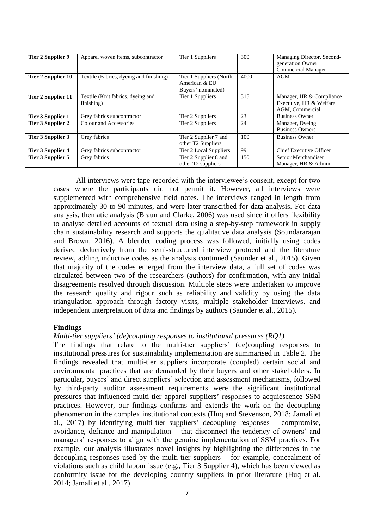| Tier 2 Supplier 9  | Apparel woven items, subcontractor              | Tier 1 Suppliers                                               | 300  | Managing Director, Second-<br>generation Owner<br><b>Commercial Manager</b> |
|--------------------|-------------------------------------------------|----------------------------------------------------------------|------|-----------------------------------------------------------------------------|
| Tier 2 Supplier 10 | Textile (Fabrics, dyeing and finishing)         | Tier 1 Suppliers (North<br>American & EU<br>Buyers' nominated) | 4000 | AGM                                                                         |
| Tier 2 Supplier 11 | Textile (Knit fabrics, dyeing and<br>finishing) | Tier 1 Suppliers                                               | 315  | Manager, HR & Compliance<br>Executive, HR & Welfare<br>AGM, Commercial      |
| Tier 3 Supplier 1  | Grey fabrics subcontractor                      | Tier 2 Suppliers                                               | 23   | <b>Business Owner</b>                                                       |
| Tier 3 Supplier 2  | Colour and Accessories                          | Tier 2 Suppliers                                               | 24   | Manager, Dyeing<br><b>Business Owners</b>                                   |
| Tier 3 Supplier 3  | Grey fabrics                                    | Tier 2 Supplier 7 and<br>other T <sub>2</sub> Suppliers        | 100  | <b>Business Owner</b>                                                       |
| Tier 3 Supplier 4  | Grey fabrics subcontractor                      | Tier 2 Local Suppliers                                         | 99   | <b>Chief Executive Officer</b>                                              |
| Tier 3 Supplier 5  | Grey fabrics                                    | Tier 2 Supplier 8 and<br>other T <sub>2</sub> suppliers        | 150  | Senior Merchandiser<br>Manager, HR & Admin.                                 |

All interviews were tape-recorded with the interviewee's consent, except for two cases where the participants did not permit it. However, all interviews were supplemented with comprehensive field notes. The interviews ranged in length from approximately 30 to 90 minutes, and were later transcribed for data analysis. For data analysis, thematic analysis (Braun and Clarke, 2006) was used since it offers flexibility to analyse detailed accounts of textual data using a step-by-step framework in supply chain sustainability research and supports the qualitative data analysis (Soundararajan and Brown, 2016). A blended coding process was followed, initially using codes derived deductively from the semi-structured interview protocol and the literature review, adding inductive codes as the analysis continued (Saunder et al., 2015). Given that majority of the codes emerged from the interview data, a full set of codes was circulated between two of the researchers (authors) for confirmation, with any initial disagreements resolved through discussion. Multiple steps were undertaken to improve the research quality and rigour such as reliability and validity by using the data triangulation approach through factory visits, multiple stakeholder interviews, and independent interpretation of data and findings by authors (Saunder et al., 2015).

#### **Findings**

#### *Multi-tier suppliers' (de)coupling responses to institutional pressures (RQ1)*

The findings that relate to the multi-tier suppliers' (de)coupling responses to institutional pressures for sustainability implementation are summarised in Table 2. The findings revealed that multi-tier suppliers incorporate (coupled) certain social and environmental practices that are demanded by their buyers and other stakeholders. In particular, buyers' and direct suppliers' selection and assessment mechanisms, followed by third-party auditor assessment requirements were the significant institutional pressures that influenced multi-tier apparel suppliers' responses to acquiescence SSM practices. However, our findings confirms and extends the work on the decoupling phenomenon in the complex institutional contexts (Huq and Stevenson, 2018; Jamali et al., 2017) by identifying multi-tier suppliers' decoupling responses – compromise, avoidance, defiance and manipulation – that disconnect the tendency of owners' and managers' responses to align with the genuine implementation of SSM practices. For example, our analysis illustrates novel insights by highlighting the differences in the decoupling responses used by the multi-tier suppliers – for example, concealment of violations such as child labour issue (e.g., Tier 3 Supplier 4), which has been viewed as conformity issue for the developing country suppliers in prior literature (Huq et al. 2014; Jamali et al., 2017).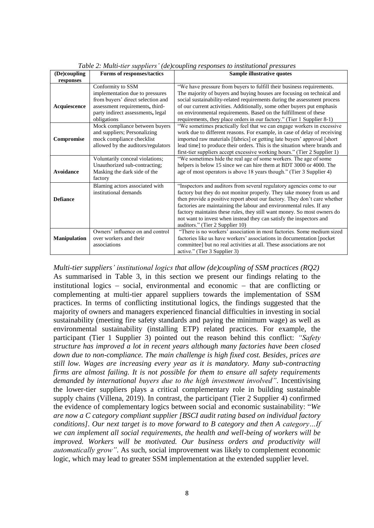| (De)coupling        | Forms of responses/tactics                                                                                                                                                       | Sample illustrative quotes                                                                                                                                                                                                                                                                                                                                                                                                                                                               |
|---------------------|----------------------------------------------------------------------------------------------------------------------------------------------------------------------------------|------------------------------------------------------------------------------------------------------------------------------------------------------------------------------------------------------------------------------------------------------------------------------------------------------------------------------------------------------------------------------------------------------------------------------------------------------------------------------------------|
| responses           |                                                                                                                                                                                  |                                                                                                                                                                                                                                                                                                                                                                                                                                                                                          |
| Acquiescence        | Conformity to SSM<br>implementation due to pressures<br>from buyers' direct selection and<br>assessment requirements, third-<br>party indirect assessments, legal<br>obligations | "We have pressure from buyers to fulfill their business requirements.<br>The majority of buyers and buying houses are focusing on technical and<br>social sustainability-related requirements during the assessment process<br>of our current activities. Additionally, some other buyers put emphasis<br>on environmental requirements. Based on the fulfillment of these<br>requirements, they place orders in our factory." (Tier 1 Supplier 8-1)                                     |
| Compromise          | Mock compliance between buyers<br>and suppliers; Personalizing<br>mock compliance checklist<br>allowed by the auditors/regulators                                                | "We sometimes practically feel that we can engage workers in excessive<br>work due to different reasons. For example, in case of delay of receiving<br>imported raw materials [fabrics] or getting late buyers' approval [short<br>lead time] to produce their orders. This is the situation where brands and<br>first-tier suppliers accept excessive working hours." (Tier 2 Supplier 1)                                                                                               |
| Avoidance           | Voluntarily conceal violations;<br>Unauthorized sub-contracting;<br>Masking the dark side of the<br>factory                                                                      | "We sometimes hide the real age of some workers. The age of some<br>helpers is below 15 since we can hire them at BDT 3000 or 4000. The<br>age of most operators is above 18 years though." (Tier 3 Supplier 4)                                                                                                                                                                                                                                                                          |
| <b>Defiance</b>     | Blaming actors associated with<br>institutional demands                                                                                                                          | "Inspectors and auditors from several regulatory agencies come to our<br>factory but they do not monitor properly. They take money from us and<br>then provide a positive report about our factory. They don't care whether<br>factories are maintaining the labour and environmental rules. If any<br>factory maintains these rules, they still want money. So most owners do<br>not want to invest when instead they can satisfy the inspectors and<br>auditors." (Tier 2 Supplier 10) |
| <b>Manipulation</b> | Owners' influence on and control<br>over workers and their<br>associations                                                                                                       | "There is no workers' association in most factories. Some medium sized<br>factories like us have workers' associations in documentation [pocket<br>committee] but no real activities at all. These associations are not<br>active." (Tier 3 Supplier 3)                                                                                                                                                                                                                                  |

*Table 2: Multi-tier suppliers' (de)coupling responses to institutional pressures*

*Multi-tier suppliers' institutional logics that allow (de)coupling of SSM practices (RQ2)* As summarised in Table 3, in this section we present our findings relating to the institutional logics  $-$  social, environmental and economic  $-$  that are conflicting or complementing at multi-tier apparel suppliers towards the implementation of SSM practices. In terms of conflicting institutional logics, the findings suggested that the majority of owners and managers experienced financial difficulties in investing in social sustainability (meeting fire safety standards and paying the minimum wage) as well as environmental sustainability (installing ETP) related practices. For example, the participant (Tier 1 Supplier 3) pointed out the reason behind this conflict: *"Safety structure has improved a lot in recent years although many factories have been closed down due to non-compliance. The main challenge is high fixed cost. Besides, prices are still low. Wages are increasing every year as it is mandatory. Many sub-contracting firms are almost failing. It is not possible for them to ensure all safety requirements demanded by international buyers due to the high investment involved"*. Incentivising the lower-tier suppliers plays a critical complementary role in building sustainable supply chains (Villena, 2019). In contrast, the participant (Tier 2 Supplier 4) confirmed the evidence of complementary logics between social and economic sustainability: "*We are now a C category compliant supplier [BSCI audit rating based on individual factory conditions]. Our next target is to move forward to B category and then A category…If we can implement all social requirements, the health and well-being of workers will be improved. Workers will be motivated. Our business orders and productivity will automatically grow"*. As such, social improvement was likely to complement economic logic, which may lead to greater SSM implementation at the extended supplier level.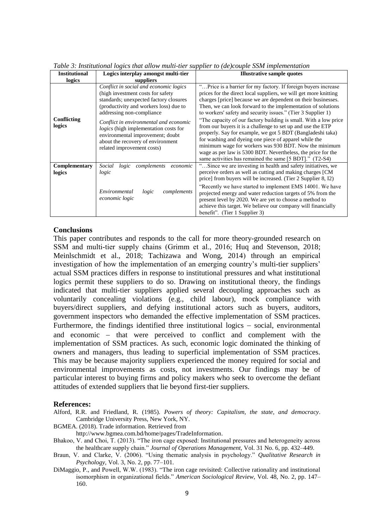| <b>Institutional</b><br>logics | Logics interplay amongst multi-tier<br>suppliers                                                                                                                                                                                                                                                                                                                                              | <b>Illustrative sample quotes</b>                                                                                                                                                                                                                                                                                                                                                                                                                                                                                                                                                                                                                                                                                                                                                 |
|--------------------------------|-----------------------------------------------------------------------------------------------------------------------------------------------------------------------------------------------------------------------------------------------------------------------------------------------------------------------------------------------------------------------------------------------|-----------------------------------------------------------------------------------------------------------------------------------------------------------------------------------------------------------------------------------------------------------------------------------------------------------------------------------------------------------------------------------------------------------------------------------------------------------------------------------------------------------------------------------------------------------------------------------------------------------------------------------------------------------------------------------------------------------------------------------------------------------------------------------|
| Conflicting<br>logics          | Conflict in social and economic logics<br>(high investment costs for safety<br>standards; unexpected factory closures<br>(productivity and workers loss) due to<br>addressing non-compliance<br>Conflict in environmental and economic<br><i>logics</i> (high implementation costs for<br>environmental improvement; doubt<br>about the recovery of environment<br>related improvement costs) | "Price is a barrier for my factory. If foreign buyers increase<br>prices for the direct local suppliers, we will get more knitting<br>charges [price] because we are dependent on their businesses.<br>Then, we can look forward to the implementation of solutions<br>to workers' safety and security issues." (Tier 3 Supplier 1)<br>"The capacity of our factory building is small. With a low price<br>from our buyers it is a challenge to set up and use the ETP<br>properly. Say for example, we got 5 BDT (Bangladeshi taka)<br>for washing and dyeing one piece of apparel while the<br>minimum wage for workers was 930 BDT. Now the minimum<br>wage as per law is 5300 BDT. Nevertheless, the price for the<br>same activities has remained the same [5 BDT]." (T2-S4) |
| Complementary<br>logics        | Social<br>complements<br>economic<br>logic<br>logic<br>Environmental<br>complements<br>logic<br>economic logic                                                                                                                                                                                                                                                                                | "Since we are investing in health and safety initiatives, we<br>perceive orders as well as cutting and making charges [CM]<br>price] from buyers will be increased. (Tier 2 Supplier 8, I2)<br>"Recently we have started to implement EMS 14001. We have<br>projected energy and water reduction targets of 5% from the<br>present level by 2020. We are yet to choose a method to<br>achieve this target. We believe our company will financially<br>benefit". (Tier 1 Supplier 3)                                                                                                                                                                                                                                                                                               |

*Table 3: Institutional logics that allow multi-tier supplier to (de)couple SSM implementation* 

#### **Conclusions**

This paper contributes and responds to the call for more theory-grounded research on SSM and multi-tier supply chains (Grimm et al., 2016; Huq and Stevenson, 2018; Meinlschmidt et al., 2018; Tachizawa and Wong, 2014) through an empirical investigation of how the implementation of an emerging country's multi-tier suppliers' actual SSM practices differs in response to institutional pressures and what institutional logics permit these suppliers to do so. Drawing on institutional theory, the findings indicated that multi-tier suppliers applied several decoupling approaches such as voluntarily concealing violations (e.g., child labour), mock compliance with buyers/direct suppliers, and defying institutional actors such as buyers, auditors, government inspectors who demanded the effective implementation of SSM practices. Furthermore, the findings identified three institutional logics  $-$  social, environmental and economic – that were perceived to conflict and complement with the implementation of SSM practices. As such, economic logic dominated the thinking of owners and managers, thus leading to superficial implementation of SSM practices. This may be because majority suppliers experienced the money required for social and environmental improvements as costs, not investments. Our findings may be of particular interest to buying firms and policy makers who seek to overcome the defiant attitudes of extended suppliers that lie beyond first-tier suppliers.

#### **References:**

- Alford, R.R. and Friedland, R. (1985). *Powers of theory: Capitalism, the state, and democracy*. Cambridge University Press, New York, NY.
- BGMEA. (2018). Trade information. Retrieved from

http://www.bgmea.com.bd/home/pages/TradeInformation.

- Bhakoo, V. and Choi, T. (2013). "The iron cage exposed: Institutional pressures and heterogeneity across the healthcare supply chain." *Journal of Operations Management,* Vol. 31 No. 6, pp. 432–449.
- Braun, V. and Clarke, V. (2006). "Using thematic analysis in psychology." *Qualitative Research in Psychology,* Vol. 3*,* No. 2, pp. 77–101.
- DiMaggio, P., and Powell, W.W. (1983). "The iron cage revisited: Collective rationality and institutional isomorphism in organizational fields." *American Sociological Review,* Vol. 48, No. 2, pp. 147– 160.